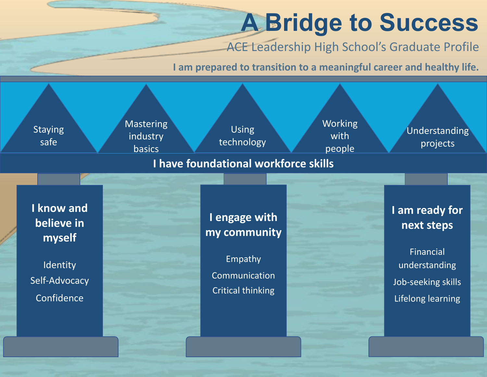## A Bridge to Success

ACE Leadership High School's Graduate Profile

I am prepared to transition to a meaningful career and healthy life.

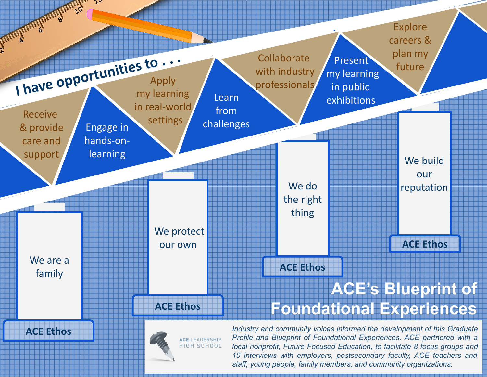